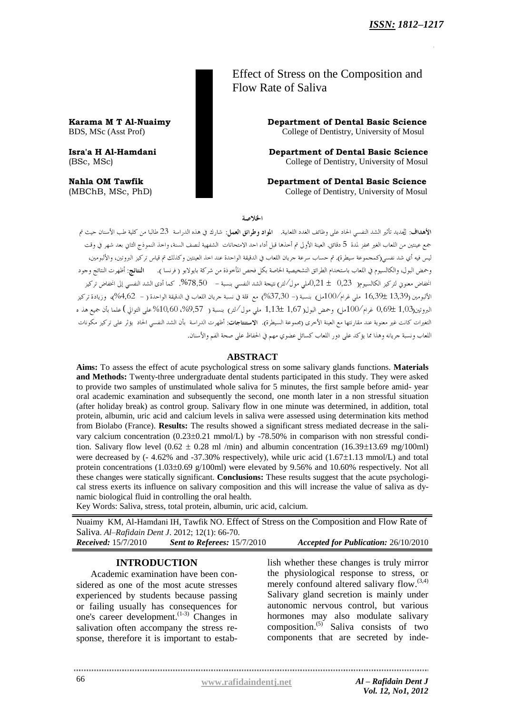Effect of Stress on the Composition and Flow Rate of Saliva

**Karama M T Al-Nuaimy Department of Dental Basic Science** BDS, MSc (Asst Prof) College of Dentistry, University of Mosul

**Isra'a H Al-Hamdani Department of Dental Basic Science** (BSc, MSc) College of Dentistry, University of Mosul

**Nahla OM Tawfik Department of Dental Basic Science** (MBChB, MSc, PhD) College of Dentistry, University of Mosul

الخلاصة

الأهداف: لتجديد تأثير الشد النفسي الحاد على وظائف الغدد اللعابية. المواد وطرائق العمل: شارك في هذه الدراسة 23 طالبا من كلية طب الأسنان حيث تم جمع عينتين من اللعاب الغير محفز لمدة 5 دقائق. العينة الأولى تم أحذها قبل أداء احد الامتحانات الشفهية لنصف السنة، واحذ النموذج الثاني بعد شهر في وقت ليس فيه أي شد نفس<sub>ي(</sub>كمجموعة سيطرة). تم حساب سرعة جريان اللعاب في الدقيقة الواحدة عند اخذ العينتين وكذلك تم قياس تركيز البروتين، والألبومين، وحمض البول، والكالسيوم في اللعاب باستخدام الطرائق التشخيصية الخاصة بكل فحص المأخوذة من شركة بايولابو ( فرنسا ). النتائج: أظهرت النتائج وجود انخفاض معنوى لتركيز الكالسيوم( 0,23 ± 0,21ملي مول∕لتر) نتيجة الشد النفسي بنسبة – 78,50%. كما أدى الشد النفسي إلى انخفاض تركيز الألبومين (13,39 ±16,39 ملي غرام/100مل) بنسبة (– 37,30%) مع قلة في نسبة جريان اللعاب في الدقيقة الواحدة ( – 4,62%)، وزيادة تركيز البروتين(1,03 ±0,69 غرام/100مل) وحمض البول( 1,67 ±1,13 ملي مول/لتر) بنسبة ( 57,9%، 10,60%على التوالي ) علما بأن جميع هذ ه التغيرات كانت غير معنوية عند مقارنتها مع العينة الأخرى (مجموعة السيطرة). **الاستنتاجات**: أظهرت الدراسة بأن الشد النفسي الحاد يؤثر على تركيز مكونات .<br>اللعاب ونسبة جريانه وهذا مما يؤكد على دور اللعاب كسائل عضوى مهم في الحفاظ على صحة الفم والأسنان.

### **ABSTRACT**

**Aims:** To assess the effect of acute psychological stress on some salivary glands functions. **Materials and Methods:** Twenty-three undergraduate dental students participated in this study. They were asked to provide two samples of unstimulated whole saliva for 5 minutes, the first sample before amid- year oral academic examination and subsequently the second, one month later in a non stressful situation (after holiday break) as control group. Salivary flow in one minute was determined, in addition, total protein, albumin, uric acid and calcium levels in saliva were assessed using determination kits method from Biolabo (France). **Results:** The results showed a significant stress mediated decrease in the salivary calcium concentration  $(0.23\pm0.21 \text{ mmol/L})$  by -78.50% in comparison with non stressful condition. Salivary flow level  $(0.62 \pm 0.28 \text{ ml/min})$  and albumin concentration  $(16.39 \pm 13.69 \text{ mg}/100 \text{ ml})$ were decreased by  $(-4.62\%$  and  $-37.30\%$  respectively), while uric acid  $(1.67\pm1.13 \text{ mmol/L})$  and total protein concentrations  $(1.03\pm0.69 \text{ g}/100\text{ml})$  were elevated by 9.56% and 10.60% respectively. Not all these changes were statically significant. **Conclusions:** These results suggest that the acute psychological stress exerts its influence on salivary composition and this will increase the value of saliva as dynamic biological fluid in controlling the oral health.

Key Words: Saliva, stress, total protein, albumin, uric acid, calcium.

Nuaimy KM, Al-Hamdani IH, Tawfik NO. Effect of Stress on the Composition and Flow Rate of Saliva. *Al–Rafidain Dent J*. 2012; 12(1): 66-70. *Received:* 15/7/2010 *Sent to Referees:* 15/7/2010 *Accepted for Publication:* 26/10/2010

### **INTRODUCTION**

Academic examination have been considered as one of the most acute stresses experienced by students because passing or failing usually has consequences for one's career development. (1-3) Changes in salivation often accompany the stress response, therefore it is important to estab-

lish whether these changes is truly mirror the physiological response to stress, or merely confound altered salivary flow.<sup>(3,4)</sup> Salivary gland secretion is mainly under autonomic nervous control, but various hormones may also modulate salivary composition. (5) Saliva consists of two components that are secreted by inde-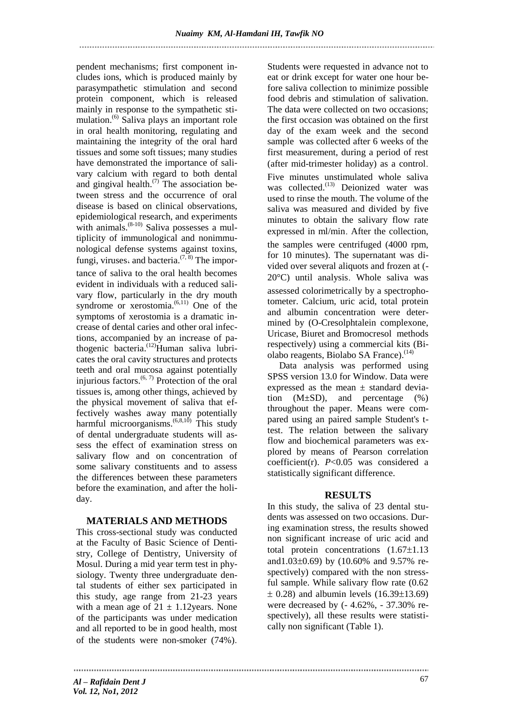pendent mechanisms; first component includes ions, which is produced mainly by parasympathetic stimulation and second protein component, which is released mainly in response to the sympathetic stimulation. (6) Saliva plays an important role in oral health monitoring, regulating and maintaining the integrity of the oral hard tissues and some soft tissues; many studies have demonstrated the importance of salivary calcium with regard to both dental and gingival health. $(7)$  The association between stress and the occurrence of oral disease is based on clinical observations, epidemiological research, and experiments with animals. $(8-10)$  Saliva possesses a multiplicity of immunological and nonimmunological defense systems against toxins, fungi, viruses and bacteria.<sup> $(7, 8)$ </sup> The importance of saliva to the oral health becomes evident in individuals with a reduced salivary flow, particularly in the dry mouth syndrome or xerostomia.<sup>(6,11)</sup> One of the symptoms of xerostomia is a dramatic increase of dental caries and other oral infections, accompanied by an increase of pathogenic bacteria.<sup>(12)</sup>Human saliva lubricates the oral cavity structures and protects teeth and oral mucosa against potentially injurious factors.  $(6, 7)$  Protection of the oral tissues is, among other things, achieved by the physical movement of saliva that effectively washes away many potentially harmful microorganisms.<sup> $(6,8,10)$ </sup> This study of dental undergraduate students will assess the effect of examination stress on salivary flow and on concentration of some salivary constituents and to assess the differences between these parameters before the examination, and after the holiday.

## **MATERIALS AND METHODS**

This cross-sectional study was conducted at the Faculty of Basic Science of Dentistry, College of Dentistry, University of Mosul. During a mid year term test in physiology. Twenty three undergraduate dental students of either sex participated in this study, age range from 21-23 years with a mean age of  $21 \pm 1.12$ years. None of the participants was under medication and all reported to be in good health, most of the students were non-smoker (74%)

Students were requested in advance not to eat or drink except for water one hour before saliva collection to minimize possible food debris and stimulation of salivation. The data were collected on two occasions; the first occasion was obtained on the first day of the exam week and the second sample was collected after 6 weeks of the first measurement, during a period of rest (after mid-trimester holiday) as a control Five minutes unstimulated whole saliva was collected.<sup>(13)</sup> Deionized water was used to rinse the mouth. The volume of the saliva was measured and divided by five minutes to obtain the salivary flow rate expressed in ml/min After the collection, the samples were centrifuged (4000 rpm, for 10 minutes). The supernatant was divided over several aliquots and frozen at (- 20°C) until analysis Whole saliva was assessed colorimetrically by a spectrophotometer. Calcium, uric acid, total protein and albumin concentration were determined by (O-Cresolphtalein complexone, Uricase, Biuret and Bromocresol methods respectively) using a commercial kits (Biolabo reagents, Biolabo SA France).<sup>(14)</sup>

 Data analysis was performed using SPSS version 13.0 for Window. Data were expressed as the mean  $\pm$  standard deviation  $(M\pm SD)$ , and percentage  $(\%)$ throughout the paper. Means were compared using an paired sample Student's ttest. The relation between the salivary flow and biochemical parameters was explored by means of Pearson correlation coefficient(r). *P*<0.05 was considered a statistically significant difference.

# **RESULTS**

In this study, the saliva of 23 dental students was assessed on two occasions. During examination stress, the results showed non significant increase of uric acid and total protein concentrations  $(1.67\pm1.13)$ and1.03 $\pm$ 0.69) by (10.60% and 9.57% respectively) compared with the non stressful sample. While salivary flow rate (0.62  $\pm$  0.28) and albumin levels (16.39 $\pm$ 13.69) were decreased by (- 4.62%, - 37.30% respectively), all these results were statistically non significant (Table 1).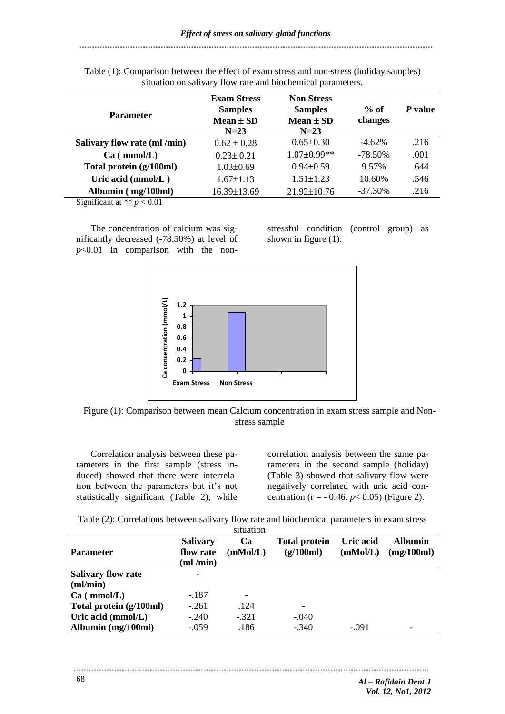| <b>Parameter</b>                         | <b>Exam Stress</b><br><b>Samples</b><br>$Mean \pm SD$<br>$N=23$ | <b>Non Stress</b><br><b>Samples</b><br>Mean $\pm$ SD<br>$N=23$ | $%$ of<br>changes | P value |
|------------------------------------------|-----------------------------------------------------------------|----------------------------------------------------------------|-------------------|---------|
| Salivary flow rate (ml /min)             | $0.62 \pm 0.28$                                                 | $0.65 \pm 0.30$                                                | $-4.62\%$         | .216    |
| Ca (mmol/L)                              | $0.23 \pm 0.21$                                                 | $1.07 \pm 0.99$ **                                             | $-78.50\%$        | .001    |
| Total protein (g/100ml)                  | $1.03 \pm 0.69$                                                 | $0.94 \pm 0.59$                                                | 9.57%             | .644    |
| Uric acid (mmol/L)                       | $1.67 \pm 1.13$                                                 | $1.51 \pm 1.23$                                                | 10.60%            | .546    |
| Albumin (mg/100ml)<br>$\sim$<br>$\cdots$ | 16.39±13.69                                                     | 21.92±10.76                                                    | $-37.30\%$        | .216    |

Table (1): Comparison between the effect of exam stress and non-stress (holiday samples) situation on salivary flow rate and biochemical parameters.

Significant at  $** p < 0.01$ 

The concentration of calcium was significantly decreased (-78.50%) at level of *p*<0.01 in comparison with the nonstressful condition (control group) as shown in figure (1):



Figure (1): Comparison between mean Calcium concentration in exam stress sample and Nonstress sample

Correlation analysis between these parameters in the first sample (stress induced) showed that there were interrelation between the parameters but it's not statistically significant (Table 2), while

correlation analysis between the same parameters in the second sample (holiday) (Table 3) showed that salivary flow were negatively correlated with uric acid concentration ( $r = -0.46$ ,  $p < 0.05$ ) (Figure 2).

Table (2): Correlations between salivary flow rate and biochemical parameters in exam stress situation

| <b>Parameter</b>          | <b>Salivary</b><br>flow rate<br>(ml/min) | <b>Ca</b><br>(mMol/L) | <b>Total protein</b><br>(g/100ml) | Uric acid<br>(mMol/L) | <b>Albumin</b><br>(mg/100ml) |
|---------------------------|------------------------------------------|-----------------------|-----------------------------------|-----------------------|------------------------------|
| <b>Salivary flow rate</b> | ۰                                        |                       |                                   |                       |                              |
| $m/m$ in                  |                                          |                       |                                   |                       |                              |
| Ca (mmol/L)               | $-.187$                                  | -                     |                                   |                       |                              |
| Total protein (g/100ml)   | $-.261$                                  | .124                  | -                                 |                       |                              |
| Uric acid (mmol/L)        | $-.240$                                  | $-.321$               | $-.040$                           |                       |                              |
| Albumin (mg/100ml)        | $-.059$                                  | .186                  | $-.340$                           | $-.091$               |                              |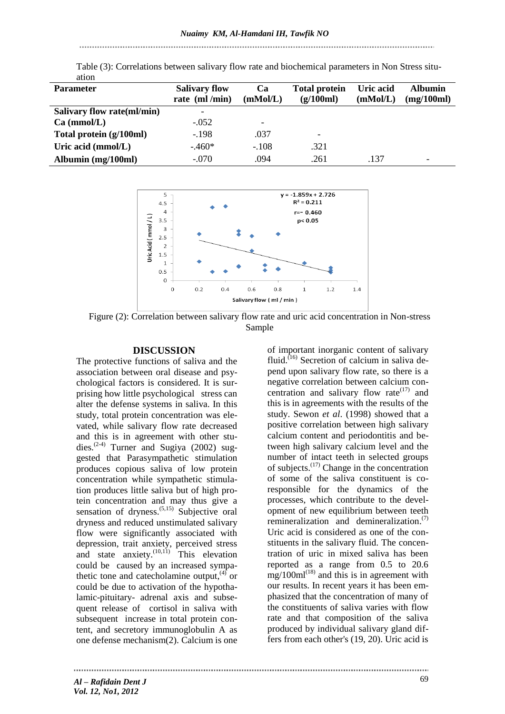# 

| <b>Parameter</b>           | <b>Salivary flow</b><br>rate (ml/min) | Ca<br>(mMol/L)           | <b>Total protein</b><br>(g/100ml) | Uric acid<br>(mMol/L) | <b>Albumin</b><br>(mg/100ml) |
|----------------------------|---------------------------------------|--------------------------|-----------------------------------|-----------------------|------------------------------|
| Salivary flow rate(ml/min) | -                                     |                          |                                   |                       |                              |
| Ca (mmol/L)                | $-.052$                               | $\overline{\phantom{0}}$ |                                   |                       |                              |
| Total protein (g/100ml)    | $-.198$                               | .037                     | $\overline{\phantom{0}}$          |                       |                              |
| Uric acid (mmol/L)         | $-.460*$                              | $-.108$                  | .321                              |                       |                              |
| Albumin (mg/100ml)         | $-.070$                               | .094                     | .261                              | .137                  |                              |

Table (3): Correlations between salivary flow rate and biochemical parameters in Non Stress situation



Figure (2): Correlation between salivary flow rate and uric acid concentration in Non-stress Sample

### **DISCUSSION**

The protective functions of saliva and the association between oral disease and psychological factors is considered. It is surprising how little psychological stress can alter the defense systems in saliva. In this study, total protein concentration was elevated, while salivary flow rate decreased and this is in agreement with other studies. (2-4) Turner and Sugiya (2002) suggested that Parasympathetic stimulation produces copious saliva of low protein concentration while sympathetic stimulation produces little saliva but of high protein concentration and may thus give a sensation of dryness.<sup>(5,15)</sup> Subjective oral dryness and reduced unstimulated salivary flow were significantly associated with depression, trait anxiety, perceived stress and state anxiety. $(10,11)$  This elevation could be caused by an increased sympathetic tone and catecholamine output,  $4^{\int}$  or could be due to activation of the hypothalamic-pituitary- adrenal axis and subsequent release of cortisol in saliva with subsequent increase in total protein content, and secretory immunoglobulin A as one defense mechanism(2). Calcium is one

of important inorganic content of salivary fluid.<sup>(16)</sup> Secretion of calcium in saliva depend upon salivary flow rate, so there is a negative correlation between calcium concentration and salivary flow rate  $(17)$  and this is in agreements with the results of the study. Sewon *et al*. (1998) showed that a positive correlation between high salivary calcium content and periodontitis and between high salivary calcium level and the number of intact teeth in selected groups of subjects.<sup>(17)</sup> Change in the concentration of some of the saliva constituent is coresponsible for the dynamics of the processes, which contribute to the development of new equilibrium between teeth remineralization and demineralization.<sup>(7)</sup> Uric acid is considered as one of the constituents in the salivary fluid. The concentration of uric in mixed saliva has been reported as a range from 0.5 to 20.6  $\text{mg}/100\text{ml}^{(18)}$  and this is in agreement with our results. In recent years it has been emphasized that the concentration of many of the constituents of saliva varies with flow rate and that composition of the saliva produced by individual salivary gland differs from each other's (19, 20). Uric acid is